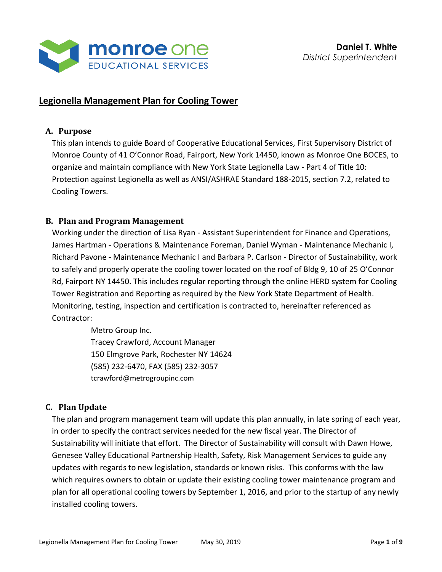

# **Legionella Management Plan for Cooling Tower**

#### **A. Purpose**

This plan intends to guide Board of Cooperative Educational Services, First Supervisory District of Monroe County of 41 O'Connor Road, Fairport, New York 14450, known as Monroe One BOCES, to organize and maintain compliance with New York State Legionella Law - Part 4 of Title 10: Protection against Legionella as well as ANSI/ASHRAE Standard 188-2015, section 7.2, related to Cooling Towers.

### **B. Plan and Program Management**

Working under the direction of Lisa Ryan - Assistant Superintendent for Finance and Operations, James Hartman - Operations & Maintenance Foreman, Daniel Wyman - Maintenance Mechanic I, Richard Pavone - Maintenance Mechanic I and Barbara P. Carlson - Director of Sustainability, work to safely and properly operate the cooling tower located on the roof of Bldg 9, 10 of 25 O'Connor Rd, Fairport NY 14450. This includes regular reporting through the online HERD system for Cooling Tower Registration and Reporting as required by the New York State Department of Health. Monitoring, testing, inspection and certification is contracted to, hereinafter referenced as Contractor:

> Metro Group Inc. Tracey Crawford, Account Manager 150 Elmgrove Park, Rochester NY 14624 (585) 232-6470, FAX (585) 232-3057 [tcrawford@metrogroupinc.com](mailto:tcrawford@metrogroupinc.com)

# **C. Plan Update**

The plan and program management team will update this plan annually, in late spring of each year, in order to specify the contract services needed for the new fiscal year. The Director of Sustainability will initiate that effort. The Director of Sustainability will consult with Dawn Howe, Genesee Valley Educational Partnership Health, Safety, Risk Management Services to guide any updates with regards to new legislation, standards or known risks. This conforms with the law which requires owners to obtain or update their existing cooling tower maintenance program and plan for all operational cooling towers by September 1, 2016, and prior to the startup of any newly installed cooling towers.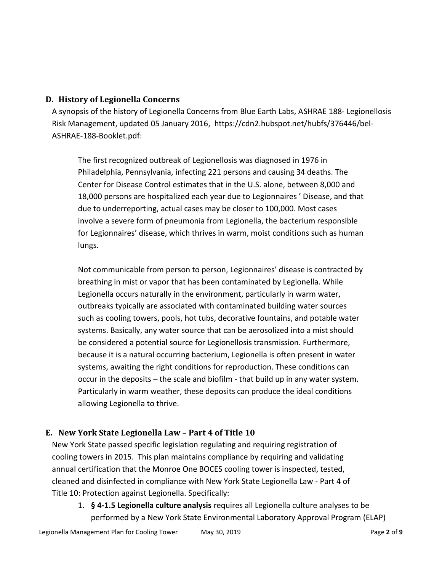### **D. History of Legionella Concerns**

A synopsis of the history of Legionella Concerns from Blue Earth Labs, ASHRAE 188- Legionellosis Risk Management, updated 05 January 2016, https://cdn2.hubspot.net/hubfs/376446/bel-ASHRAE-188-Booklet.pdf:

The first recognized outbreak of Legionellosis was diagnosed in 1976 in Philadelphia, Pennsylvania, infecting 221 persons and causing 34 deaths. The Center for Disease Control estimates that in the U.S. alone, between 8,000 and 18,000 persons are hospitalized each year due to Legionnaires ' Disease, and that due to underreporting, actual cases may be closer to 100,000. Most cases involve a severe form of pneumonia from Legionella, the bacterium responsible for Legionnaires' disease, which thrives in warm, moist conditions such as human lungs.

Not communicable from person to person, Legionnaires' disease is contracted by breathing in mist or vapor that has been contaminated by Legionella. While Legionella occurs naturally in the environment, particularly in warm water, outbreaks typically are associated with contaminated building water sources such as cooling towers, pools, hot tubs, decorative fountains, and potable water systems. Basically, any water source that can be aerosolized into a mist should be considered a potential source for Legionellosis transmission. Furthermore, because it is a natural occurring bacterium, Legionella is often present in water systems, awaiting the right conditions for reproduction. These conditions can occur in the deposits – the scale and biofilm - that build up in any water system. Particularly in warm weather, these deposits can produce the ideal conditions allowing Legionella to thrive.

# **E. New York State Legionella Law – Part 4 of Title 10**

New York State passed specific legislation regulating and requiring registration of cooling towers in 2015. This plan maintains compliance by requiring and validating annual certification that the Monroe One BOCES cooling tower is inspected, tested, cleaned and disinfected in compliance with New York State Legionella Law - Part 4 of Title 10: Protection against Legionella. Specifically:

1. **§ 4-1.5 Legionella culture analysis** requires all Legionella culture analyses to be performed by a New York State Environmental Laboratory Approval Program (ELAP)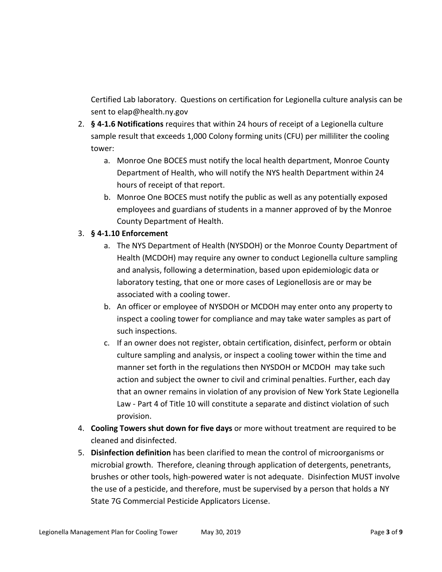Certified Lab laboratory. Questions on certification for Legionella culture analysis can be sent to elap@health.ny.gov

- 2. **§ 4-1.6 Notifications** requires that within 24 hours of receipt of a Legionella culture sample result that exceeds 1,000 Colony forming units (CFU) per milliliter the cooling tower:
	- a. Monroe One BOCES must notify the local health department, Monroe County Department of Health, who will notify the NYS health Department within 24 hours of receipt of that report.
	- b. Monroe One BOCES must notify the public as well as any potentially exposed employees and guardians of students in a manner approved of by the Monroe County Department of Health.

### 3. **§ 4-1.10 Enforcement**

- a. The NYS Department of Health (NYSDOH) or the Monroe County Department of Health (MCDOH) may require any owner to conduct Legionella culture sampling and analysis, following a determination, based upon epidemiologic data or laboratory testing, that one or more cases of Legionellosis are or may be associated with a cooling tower.
- b. An officer or employee of NYSDOH or MCDOH may enter onto any property to inspect a cooling tower for compliance and may take water samples as part of such inspections.
- c. If an owner does not register, obtain certification, disinfect, perform or obtain culture sampling and analysis, or inspect a cooling tower within the time and manner set forth in the regulations then NYSDOH or MCDOH may take such action and subject the owner to civil and criminal penalties. Further, each day that an owner remains in violation of any provision of New York State Legionella Law - Part 4 of Title 10 will constitute a separate and distinct violation of such provision.
- 4. **Cooling Towers shut down for five days** or more without treatment are required to be cleaned and disinfected.
- 5. **Disinfection definition** has been clarified to mean the control of microorganisms or microbial growth. Therefore, cleaning through application of detergents, penetrants, brushes or other tools, high-powered water is not adequate. Disinfection MUST involve the use of a pesticide, and therefore, must be supervised by a person that holds a NY State 7G Commercial Pesticide Applicators License.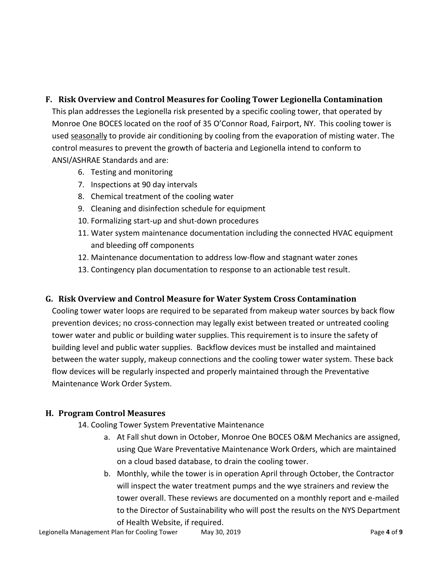### **F. Risk Overview and Control Measures for Cooling Tower Legionella Contamination**

This plan addresses the Legionella risk presented by a specific cooling tower, that operated by Monroe One BOCES located on the roof of 35 O'Connor Road, Fairport, NY. This cooling tower is used seasonally to provide air conditioning by cooling from the evaporation of misting water. The control measures to prevent the growth of bacteria and Legionella intend to conform to ANSI/ASHRAE Standards and are:

- 6. Testing and monitoring
- 7. Inspections at 90 day intervals
- 8. Chemical treatment of the cooling water
- 9. Cleaning and disinfection schedule for equipment
- 10. Formalizing start-up and shut-down procedures
- 11. Water system maintenance documentation including the connected HVAC equipment and bleeding off components
- 12. Maintenance documentation to address low-flow and stagnant water zones
- 13. Contingency plan documentation to response to an actionable test result.

### **G. Risk Overview and Control Measure for Water System Cross Contamination**

Cooling tower water loops are required to be separated from makeup water sources by back flow prevention devices; no cross-connection may legally exist between treated or untreated cooling tower water and public or building water supplies. This requirement is to insure the safety of building level and public water supplies. Backflow devices must be installed and maintained between the water supply, makeup connections and the cooling tower water system. These back flow devices will be regularly inspected and properly maintained through the Preventative Maintenance Work Order System.

# **H. Program Control Measures**

- 14. Cooling Tower System Preventative Maintenance
	- a. At Fall shut down in October, Monroe One BOCES O&M Mechanics are assigned, using Que Ware Preventative Maintenance Work Orders, which are maintained on a cloud based database, to drain the cooling tower.
	- b. Monthly, while the tower is in operation April through October, the Contractor will inspect the water treatment pumps and the wye strainers and review the tower overall. These reviews are documented on a monthly report and e-mailed to the Director of Sustainability who will post the results on the NYS Department of Health Website, if required.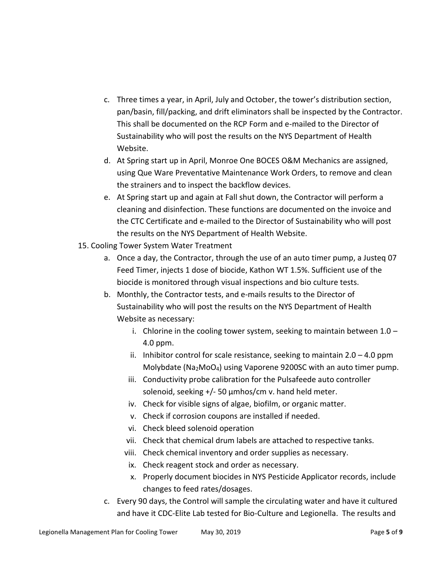- c. Three times a year, in April, July and October, the tower's distribution section, pan/basin, fill/packing, and drift eliminators shall be inspected by the Contractor. This shall be documented on the RCP Form and e-mailed to the Director of Sustainability who will post the results on the NYS Department of Health Website.
- d. At Spring start up in April, Monroe One BOCES O&M Mechanics are assigned, using Que Ware Preventative Maintenance Work Orders, to remove and clean the strainers and to inspect the backflow devices.
- e. At Spring start up and again at Fall shut down, the Contractor will perform a cleaning and disinfection. These functions are documented on the invoice and the CTC Certificate and e-mailed to the Director of Sustainability who will post the results on the NYS Department of Health Website.
- 15. Cooling Tower System Water Treatment
	- a. Once a day, the Contractor, through the use of an auto timer pump, a Justeq 07 Feed Timer, injects 1 dose of biocide, Kathon WT 1.5%. Sufficient use of the biocide is monitored through visual inspections and bio culture tests.
	- b. Monthly, the Contractor tests, and e-mails results to the Director of Sustainability who will post the results on the NYS Department of Health Website as necessary:
		- i. Chlorine in the cooling tower system, seeking to maintain between  $1.0 -$ 4.0 ppm.
		- ii. Inhibitor control for scale resistance, seeking to maintain  $2.0 4.0$  ppm Molybdate (Na2MoO4) using Vaporene 9200SC with an auto timer pump.
		- iii. Conductivity probe calibration for the Pulsafeede auto controller solenoid, seeking  $+/-$  50  $\mu$ mhos/cm v. hand held meter.
		- iv. Check for visible signs of algae, biofilm, or organic matter.
		- v. Check if corrosion coupons are installed if needed.
		- vi. Check bleed solenoid operation
		- vii. Check that chemical drum labels are attached to respective tanks.
		- viii. Check chemical inventory and order supplies as necessary.
		- ix. Check reagent stock and order as necessary.
		- x. Properly document biocides in NYS Pesticide Applicator records, include changes to feed rates/dosages.
	- c. Every 90 days, the Control will sample the circulating water and have it cultured and have it CDC-Elite Lab tested for Bio-Culture and Legionella. The results and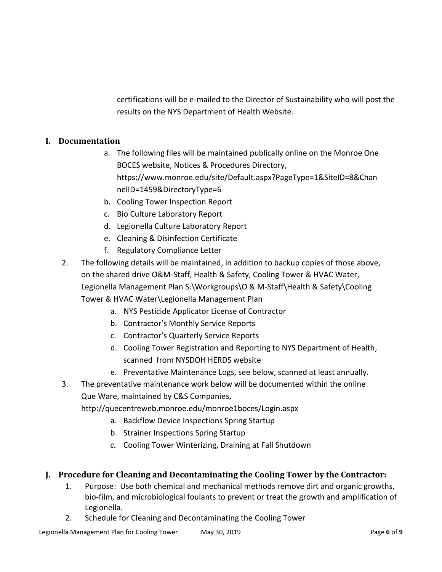certifications will be e-mailed to the Director of Sustainability who will post the results on the NYS Department of Health Website.

### **I. Documentation**

- a. The following files will be maintained publically online on the Monroe One BOCES website, Notices & Procedures Directory, https://www.monroe.edu/site/Default.aspx?PageType=1&SiteID=8&Chan nelID=1459&DirectoryType=6
- b. Cooling Tower Inspection Report
- c. Bio Culture Laboratory Report
- d. Legionella Culture Laboratory Report
- e. Cleaning & Disinfection Certificate
- f. Regulatory Compliance Letter
- 2. The following details will be maintained, in addition to backup copies of those above, on the shared drive O&M-Staff, Health & Safety, Cooling Tower & HVAC Water, Legionella Management Plan S:\Workgroups\O & M-Staff\Health & Safety\Cooling Tower & HVAC Water\Legionella Management Plan
	- a. NYS Pesticide Applicator License of Contractor
	- b. Contractor's Monthly Service Reports
	- c. Contractor's Quarterly Service Reports
	- d. Cooling Tower Registration and Reporting to NYS Department of Health, scanned from NYSDOH HERDS website
	- e. Preventative Maintenance Logs, see below, scanned at least annually.
- 3. The preventative maintenance work below will be documented within the online Que Ware, maintained by C&S Companies,

http://quecentreweb.monroe.edu/monroe1boces/Login.aspx

- a. Backflow Device Inspections Spring Startup
- b. Strainer Inspections Spring Startup
- c. Cooling Tower Winterizing, Draining at Fall Shutdown

### **J. Procedure for Cleaning and Decontaminating the Cooling Tower by the Contractor:**

- 1. Purpose: Use both chemical and mechanical methods remove dirt and organic growths, bio-film, and microbiological foulants to prevent or treat the growth and amplification of Legionella.
- 2. Schedule for Cleaning and Decontaminating the Cooling Tower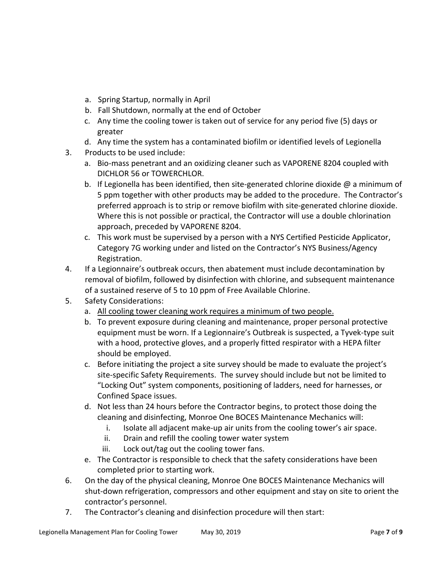- a. Spring Startup, normally in April
- b. Fall Shutdown, normally at the end of October
- c. Any time the cooling tower is taken out of service for any period five (5) days or greater
- d. Any time the system has a contaminated biofilm or identified levels of Legionella
- 3. Products to be used include:
	- a. Bio-mass penetrant and an oxidizing cleaner such as VAPORENE 8204 coupled with DICHLOR 56 or TOWERCHLOR.
	- b. If Legionella has been identified, then site-generated chlorine dioxide  $\omega$  a minimum of 5 ppm together with other products may be added to the procedure. The Contractor's preferred approach is to strip or remove biofilm with site-generated chlorine dioxide. Where this is not possible or practical, the Contractor will use a double chlorination approach, preceded by VAPORENE 8204.
	- c. This work must be supervised by a person with a NYS Certified Pesticide Applicator, Category 7G working under and listed on the Contractor's NYS Business/Agency Registration.
- 4. If a Legionnaire's outbreak occurs, then abatement must include decontamination by removal of biofilm, followed by disinfection with chlorine, and subsequent maintenance of a sustained reserve of 5 to 10 ppm of Free Available Chlorine.
- 5. Safety Considerations:
	- a. All cooling tower cleaning work requires a minimum of two people.
	- b. To prevent exposure during cleaning and maintenance, proper personal protective equipment must be worn. If a Legionnaire's Outbreak is suspected, a Tyvek-type suit with a hood, protective gloves, and a properly fitted respirator with a HEPA filter should be employed.
	- c. Before initiating the project a site survey should be made to evaluate the project's site-specific Safety Requirements. The survey should include but not be limited to "Locking Out" system components, positioning of ladders, need for harnesses, or Confined Space issues.
	- d. Not less than 24 hours before the Contractor begins, to protect those doing the cleaning and disinfecting, Monroe One BOCES Maintenance Mechanics will:
		- i. Isolate all adjacent make-up air units from the cooling tower's air space.
		- ii. Drain and refill the cooling tower water system
		- iii. Lock out/tag out the cooling tower fans.
	- e. The Contractor is responsible to check that the safety considerations have been completed prior to starting work.
- 6. On the day of the physical cleaning, Monroe One BOCES Maintenance Mechanics will shut-down refrigeration, compressors and other equipment and stay on site to orient the contractor's personnel.
- 7. The Contractor's cleaning and disinfection procedure will then start: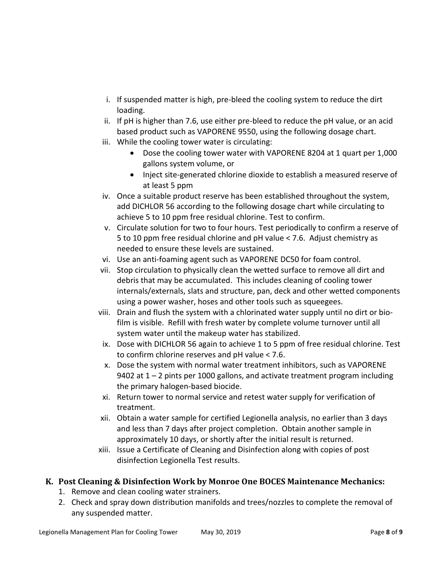- i. If suspended matter is high, pre-bleed the cooling system to reduce the dirt loading.
- ii. If pH is higher than 7.6, use either pre-bleed to reduce the pH value, or an acid based product such as VAPORENE 9550, using the following dosage chart.
- iii. While the cooling tower water is circulating:
	- Dose the cooling tower water with VAPORENE 8204 at 1 quart per 1,000 gallons system volume, or
	- Inject site-generated chlorine dioxide to establish a measured reserve of at least 5 ppm
- iv. Once a suitable product reserve has been established throughout the system, add DICHLOR 56 according to the following dosage chart while circulating to achieve 5 to 10 ppm free residual chlorine. Test to confirm.
- v. Circulate solution for two to four hours. Test periodically to confirm a reserve of 5 to 10 ppm free residual chlorine and pH value < 7.6. Adjust chemistry as needed to ensure these levels are sustained.
- vi. Use an anti-foaming agent such as VAPORENE DC50 for foam control.
- vii. Stop circulation to physically clean the wetted surface to remove all dirt and debris that may be accumulated. This includes cleaning of cooling tower internals/externals, slats and structure, pan, deck and other wetted components using a power washer, hoses and other tools such as squeegees.
- viii. Drain and flush the system with a chlorinated water supply until no dirt or biofilm is visible. Refill with fresh water by complete volume turnover until all system water until the makeup water has stabilized.
- ix. Dose with DICHLOR 56 again to achieve 1 to 5 ppm of free residual chlorine. Test to confirm chlorine reserves and pH value < 7.6.
- x. Dose the system with normal water treatment inhibitors, such as VAPORENE 9402 at 1 – 2 pints per 1000 gallons, and activate treatment program including the primary halogen-based biocide.
- xi. Return tower to normal service and retest water supply for verification of treatment.
- xii. Obtain a water sample for certified Legionella analysis, no earlier than 3 days and less than 7 days after project completion. Obtain another sample in approximately 10 days, or shortly after the initial result is returned.
- xiii. Issue a Certificate of Cleaning and Disinfection along with copies of post disinfection Legionella Test results.

# **K. Post Cleaning & Disinfection Work by Monroe One BOCES Maintenance Mechanics:**

- 1. Remove and clean cooling water strainers.
- 2. Check and spray down distribution manifolds and trees/nozzles to complete the removal of any suspended matter.